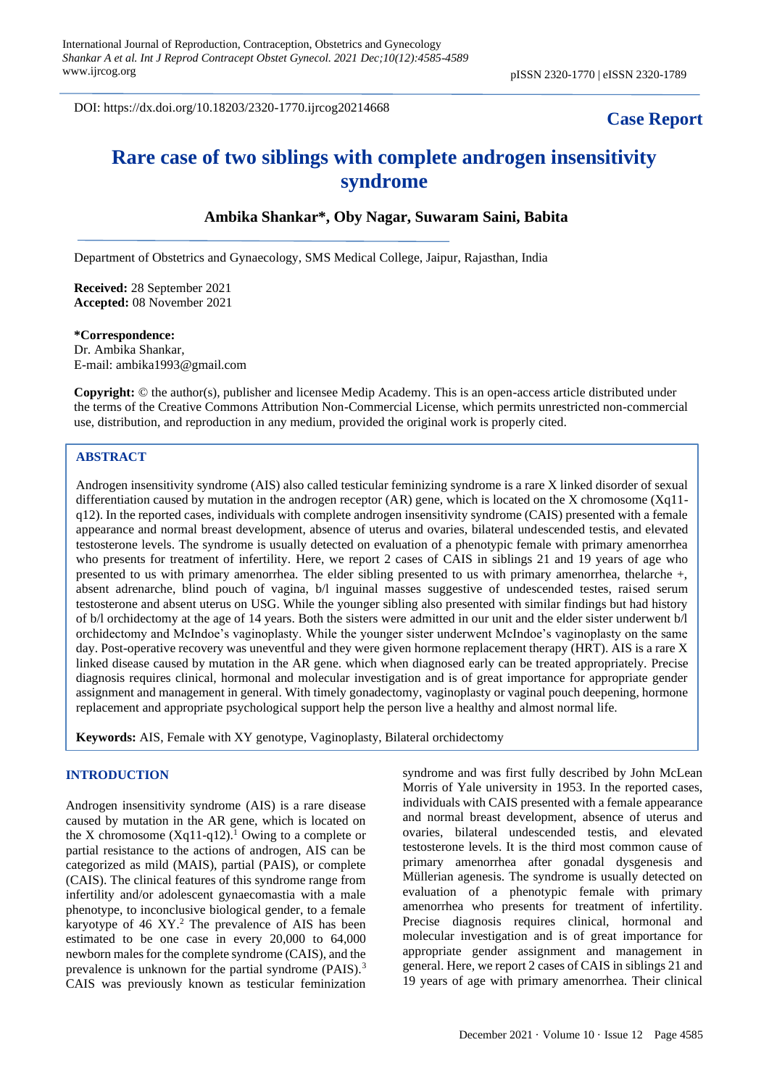DOI: https://dx.doi.org/10.18203/2320-1770.ijrcog20214668

## **Case Report**

# **Rare case of two siblings with complete androgen insensitivity syndrome**

## **Ambika Shankar\*, Oby Nagar, Suwaram Saini, Babita**

Department of Obstetrics and Gynaecology, SMS Medical College, Jaipur, Rajasthan, India

**Received:** 28 September 2021 **Accepted:** 08 November 2021

## **\*Correspondence:**

Dr. Ambika Shankar, E-mail: ambika1993@gmail.com

**Copyright:** © the author(s), publisher and licensee Medip Academy. This is an open-access article distributed under the terms of the Creative Commons Attribution Non-Commercial License, which permits unrestricted non-commercial use, distribution, and reproduction in any medium, provided the original work is properly cited.

### **ABSTRACT**

Androgen insensitivity syndrome (AIS) also called testicular feminizing syndrome is a rare X linked disorder of sexual differentiation caused by mutation in the androgen receptor (AR) gene, which is located on the X chromosome (Xq11 q12). In the reported cases, individuals with complete androgen insensitivity syndrome (CAIS) presented with a female appearance and normal breast development, absence of uterus and ovaries, bilateral undescended testis, and elevated testosterone levels. The syndrome is usually detected on evaluation of a phenotypic female with primary amenorrhea who presents for treatment of infertility. Here, we report 2 cases of CAIS in siblings 21 and 19 years of age who presented to us with primary amenorrhea. The elder sibling presented to us with primary amenorrhea, thelarche +, absent adrenarche, blind pouch of vagina, b/l inguinal masses suggestive of undescended testes, raised serum testosterone and absent uterus on USG. While the younger sibling also presented with similar findings but had history of b/l orchidectomy at the age of 14 years. Both the sisters were admitted in our unit and the elder sister underwent b/l orchidectomy and McIndoe's vaginoplasty. While the younger sister underwent McIndoe's vaginoplasty on the same day. Post-operative recovery was uneventful and they were given hormone replacement therapy (HRT). AIS is a rare X linked disease caused by mutation in the AR gene. which when diagnosed early can be treated appropriately. Precise diagnosis requires clinical, hormonal and molecular investigation and is of great importance for appropriate gender assignment and management in general. With timely gonadectomy, vaginoplasty or vaginal pouch deepening, hormone replacement and appropriate psychological support help the person live a healthy and almost normal life.

**Keywords:** AIS, Female with XY genotype, Vaginoplasty, Bilateral orchidectomy

#### **INTRODUCTION**

Androgen insensitivity syndrome (AIS) is a rare disease caused by mutation in the AR gene, which is located on the X chromosome  $(Xq11-q12)$ .<sup>1</sup> Owing to a complete or partial resistance to the actions of androgen, AIS can be categorized as mild (MAIS), partial (PAIS), or complete (CAIS). The clinical features of this syndrome range from infertility and/or adolescent gynaecomastia with a male phenotype, to inconclusive biological gender, to a female karyotype of 46  $XY<sup>2</sup>$ . The prevalence of AIS has been estimated to be one case in every 20,000 to 64,000 newborn males for the complete syndrome (CAIS), and the prevalence is unknown for the partial syndrome (PAIS).<sup>3</sup> CAIS was previously known as testicular feminization syndrome and was first fully described by John McLean Morris of Yale university in 1953. In the reported cases, individuals with CAIS presented with a female appearance and normal breast development, absence of uterus and ovaries, bilateral undescended testis, and elevated testosterone levels. It is the third most common cause of primary amenorrhea after gonadal dysgenesis and Müllerian agenesis. The syndrome is usually detected on evaluation of a phenotypic female with primary amenorrhea who presents for treatment of infertility. Precise diagnosis requires clinical, hormonal and molecular investigation and is of great importance for appropriate gender assignment and management in general. Here, we report 2 cases of CAIS in siblings 21 and 19 years of age with primary amenorrhea. Their clinical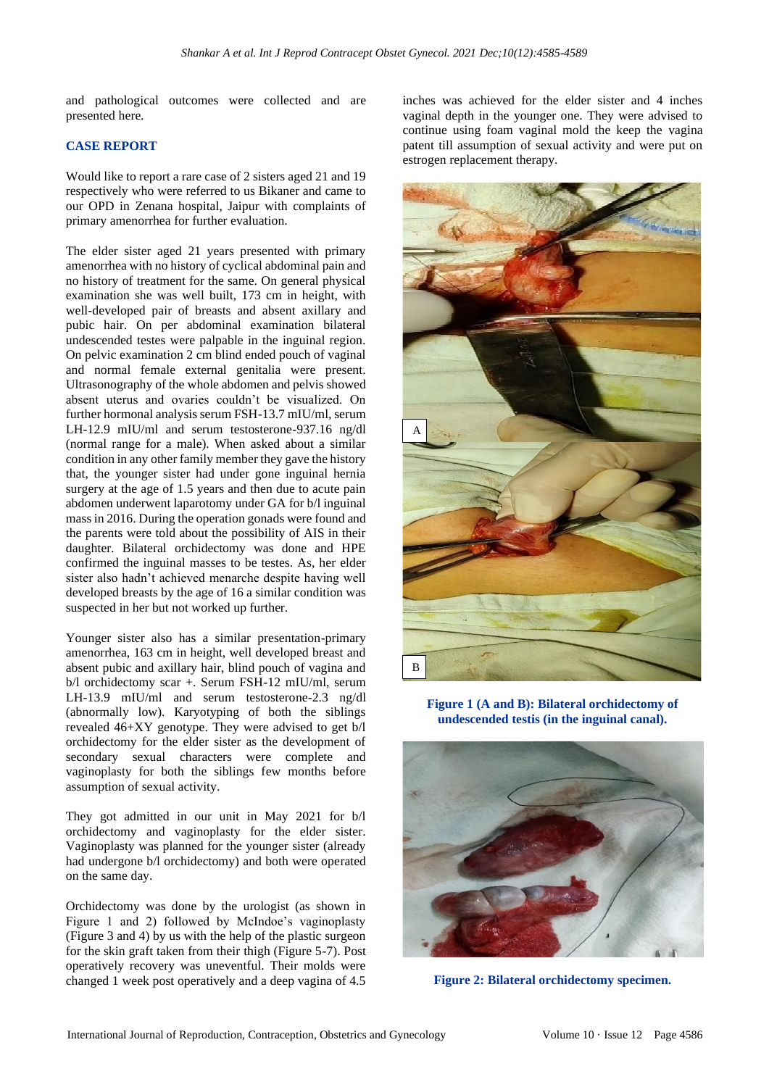and pathological outcomes were collected and are presented here.

## **CASE REPORT**

Would like to report a rare case of 2 sisters aged 21 and 19 respectively who were referred to us Bikaner and came to our OPD in Zenana hospital, Jaipur with complaints of primary amenorrhea for further evaluation.

The elder sister aged 21 years presented with primary amenorrhea with no history of cyclical abdominal pain and no history of treatment for the same. On general physical examination she was well built, 173 cm in height, with well-developed pair of breasts and absent axillary and pubic hair. On per abdominal examination bilateral undescended testes were palpable in the inguinal region. On pelvic examination 2 cm blind ended pouch of vaginal and normal female external genitalia were present. Ultrasonography of the whole abdomen and pelvis showed absent uterus and ovaries couldn't be visualized. On further hormonal analysis serum FSH-13.7 mIU/ml, serum LH-12.9 mIU/ml and serum testosterone-937.16 ng/dl (normal range for a male). When asked about a similar condition in any other family member they gave the history that, the younger sister had under gone inguinal hernia surgery at the age of 1.5 years and then due to acute pain abdomen underwent laparotomy under GA for b/l inguinal mass in 2016. During the operation gonads were found and the parents were told about the possibility of AIS in their daughter. Bilateral orchidectomy was done and HPE confirmed the inguinal masses to be testes. As, her elder sister also hadn't achieved menarche despite having well developed breasts by the age of 16 a similar condition was suspected in her but not worked up further.

Younger sister also has a similar presentation-primary amenorrhea, 163 cm in height, well developed breast and absent pubic and axillary hair, blind pouch of vagina and b/l orchidectomy scar +. Serum FSH-12 mIU/ml, serum LH-13.9 mIU/ml and serum testosterone-2.3 ng/dl (abnormally low). Karyotyping of both the siblings revealed 46+XY genotype. They were advised to get b/l orchidectomy for the elder sister as the development of secondary sexual characters were complete and vaginoplasty for both the siblings few months before assumption of sexual activity.

They got admitted in our unit in May 2021 for b/l orchidectomy and vaginoplasty for the elder sister. Vaginoplasty was planned for the younger sister (already had undergone b/l orchidectomy) and both were operated on the same day.

Orchidectomy was done by the urologist (as shown in Figure 1 and 2) followed by McIndoe's vaginoplasty (Figure 3 and 4) by us with the help of the plastic surgeon for the skin graft taken from their thigh (Figure 5-7). Post operatively recovery was uneventful. Their molds were changed 1 week post operatively and a deep vagina of 4.5 inches was achieved for the elder sister and 4 inches vaginal depth in the younger one. They were advised to continue using foam vaginal mold the keep the vagina patent till assumption of sexual activity and were put on estrogen replacement therapy.



**Figure 1 (A and B): Bilateral orchidectomy of undescended testis (in the inguinal canal).**



**Figure 2: Bilateral orchidectomy specimen.**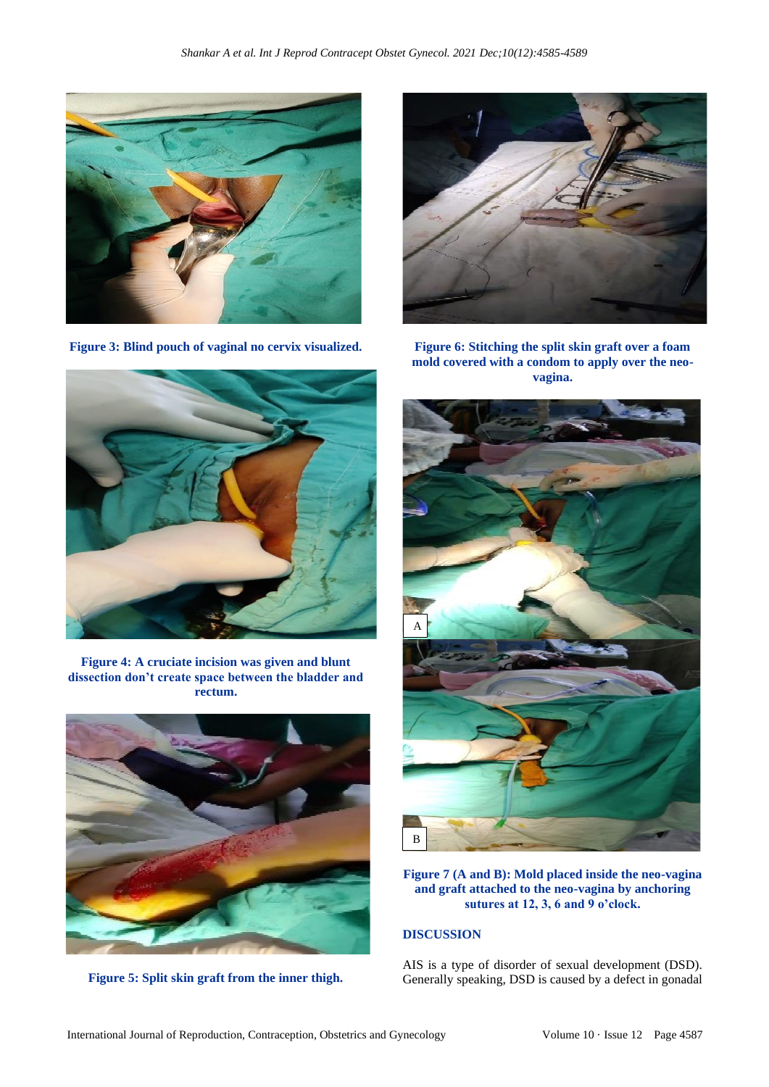

**Figure 3: Blind pouch of vaginal no cervix visualized.**



**Figure 4: A cruciate incision was given and blunt dissection don't create space between the bladder and rectum.**



**Figure 5: Split skin graft from the inner thigh.**



**Figure 6: Stitching the split skin graft over a foam mold covered with a condom to apply over the neovagina.**



**Figure 7 (A and B): Mold placed inside the neo-vagina and graft attached to the neo-vagina by anchoring sutures at 12, 3, 6 and 9 o'clock.**

#### **DISCUSSION**

AIS is a type of disorder of sexual development (DSD). Generally speaking, DSD is caused by a defect in gonadal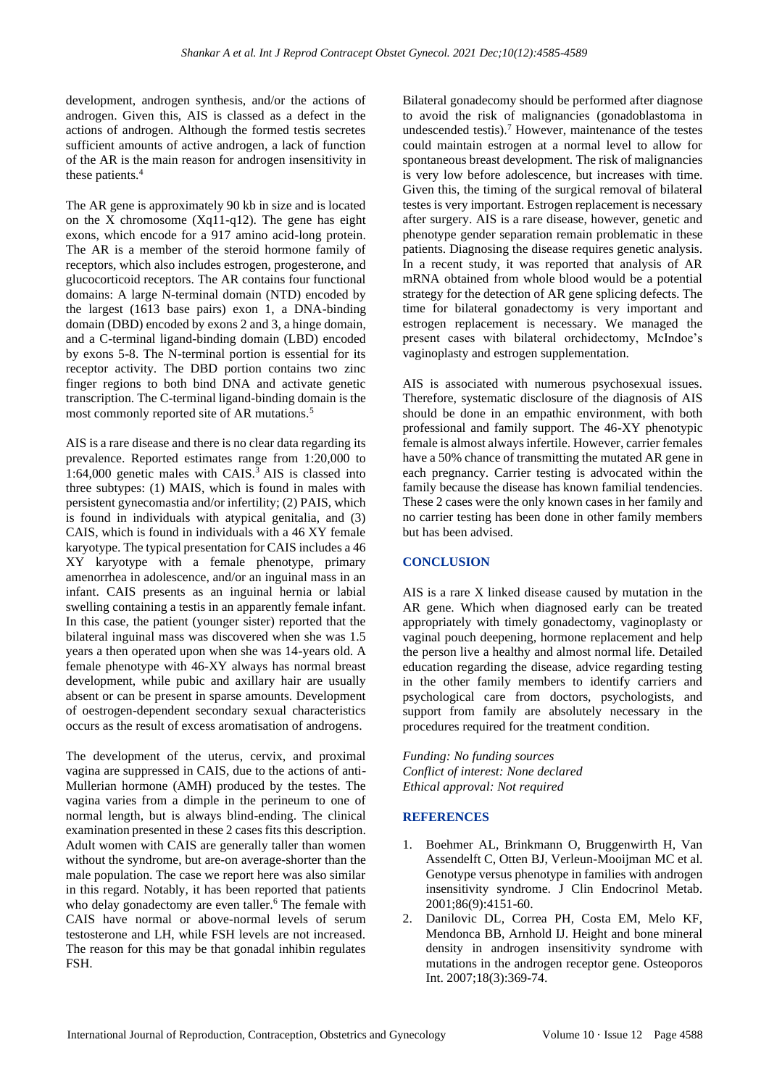development, androgen synthesis, and/or the actions of androgen. Given this, AIS is classed as a defect in the actions of androgen. Although the formed testis secretes sufficient amounts of active androgen, a lack of function of the AR is the main reason for androgen insensitivity in these patients.<sup>4</sup>

The AR gene is approximately 90 kb in size and is located on the X chromosome (Xq11-q12). The gene has eight exons, which encode for a 917 amino acid-long protein. The AR is a member of the steroid hormone family of receptors, which also includes estrogen, progesterone, and glucocorticoid receptors. The AR contains four functional domains: A large N-terminal domain (NTD) encoded by the largest (1613 base pairs) exon 1, a DNA-binding domain (DBD) encoded by exons 2 and 3, a hinge domain, and a C-terminal ligand-binding domain (LBD) encoded by exons 5-8. The N-terminal portion is essential for its receptor activity. The DBD portion contains two zinc finger regions to both bind DNA and activate genetic transcription. The C-terminal ligand-binding domain is the most commonly reported site of AR mutations.<sup>5</sup>

AIS is a rare disease and there is no clear data regarding its prevalence. Reported estimates range from 1:20,000 to 1:64,000 genetic males with CAIS. $^3$  AIS is classed into three subtypes: (1) MAIS, which is found in males with persistent gynecomastia and/or infertility; (2) PAIS, which is found in individuals with atypical genitalia, and (3) CAIS, which is found in individuals with a 46 XY female karyotype. The typical presentation for CAIS includes a 46 XY karyotype with a female phenotype, primary amenorrhea in adolescence, and/or an inguinal mass in an infant. CAIS presents as an inguinal hernia or labial swelling containing a testis in an apparently female infant. In this case, the patient (younger sister) reported that the bilateral inguinal mass was discovered when she was 1.5 years a then operated upon when she was 14-years old. A female phenotype with 46-XY always has normal breast development, while pubic and axillary hair are usually absent or can be present in sparse amounts. Development of oestrogen-dependent secondary sexual characteristics occurs as the result of excess aromatisation of androgens.

The development of the uterus, cervix, and proximal vagina are suppressed in CAIS, due to the actions of anti-Mullerian hormone (AMH) produced by the testes. The vagina varies from a dimple in the perineum to one of normal length, but is always blind-ending. The clinical examination presented in these 2 cases fits this description. Adult women with CAIS are generally taller than women without the syndrome, but are-on average-shorter than the male population. The case we report here was also similar in this regard. Notably, it has been reported that patients who delay gonadectomy are even taller.<sup>6</sup> The female with CAIS have normal or above-normal levels of serum testosterone and LH, while FSH levels are not increased. The reason for this may be that gonadal inhibin regulates FSH.

Bilateral gonadecomy should be performed after diagnose to avoid the risk of malignancies (gonadoblastoma in undescended testis).<sup>7</sup> However, maintenance of the testes could maintain estrogen at a normal level to allow for spontaneous breast development. The risk of malignancies is very low before adolescence, but increases with time. Given this, the timing of the surgical removal of bilateral testes is very important. Estrogen replacement is necessary after surgery. AIS is a rare disease, however, genetic and phenotype gender separation remain problematic in these patients. Diagnosing the disease requires genetic analysis. In a recent study, it was reported that analysis of AR mRNA obtained from whole blood would be a potential strategy for the detection of AR gene splicing defects. The time for bilateral gonadectomy is very important and estrogen replacement is necessary. We managed the present cases with bilateral orchidectomy, McIndoe's vaginoplasty and estrogen supplementation.

AIS is associated with numerous psychosexual issues. Therefore, systematic disclosure of the diagnosis of AIS should be done in an empathic environment, with both professional and family support. The 46-XY phenotypic female is almost always infertile. However, carrier females have a 50% chance of transmitting the mutated AR gene in each pregnancy. Carrier testing is advocated within the family because the disease has known familial tendencies. These 2 cases were the only known cases in her family and no carrier testing has been done in other family members but has been advised.

## **CONCLUSION**

AIS is a rare X linked disease caused by mutation in the AR gene. Which when diagnosed early can be treated appropriately with timely gonadectomy, vaginoplasty or vaginal pouch deepening, hormone replacement and help the person live a healthy and almost normal life. Detailed education regarding the disease, advice regarding testing in the other family members to identify carriers and psychological care from doctors, psychologists, and support from family are absolutely necessary in the procedures required for the treatment condition.

*Funding: No funding sources Conflict of interest: None declared Ethical approval: Not required*

## **REFERENCES**

- 1. Boehmer AL, Brinkmann O, Bruggenwirth H, Van Assendelft C, Otten BJ, Verleun-Mooijman MC et al. Genotype versus phenotype in families with androgen insensitivity syndrome. J Clin Endocrinol Metab. 2001;86(9):4151-60.
- 2. Danilovic DL, Correa PH, Costa EM, Melo KF, Mendonca BB, Arnhold IJ. Height and bone mineral density in androgen insensitivity syndrome with mutations in the androgen receptor gene. Osteoporos Int. 2007;18(3):369-74.